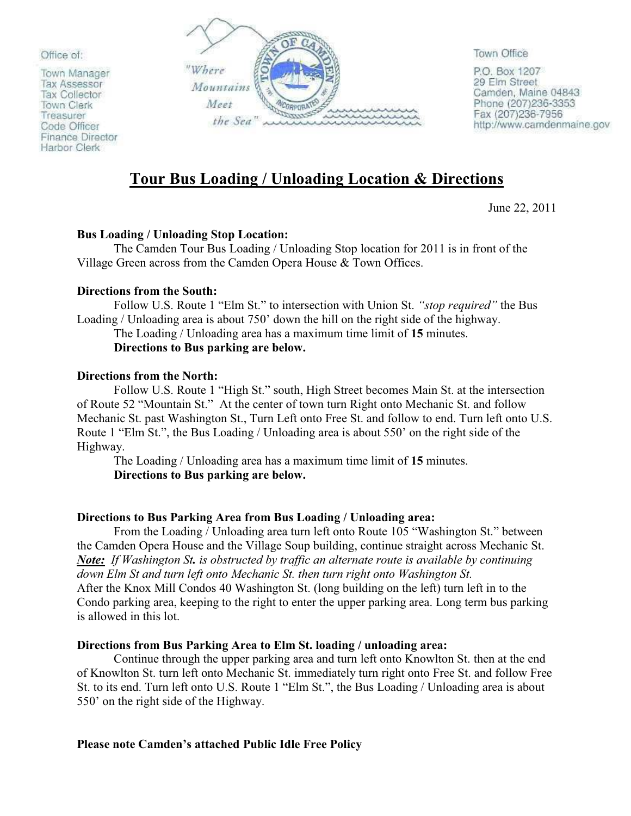Office of:

Town Manager **Tax Assessor** Tax Collector Town Clerk Treasurer Code Officer Finance Director Harbor Clerk



Town Office

P.O. Box 1207 29 Elm Street Camden, Maine 04843 Phone (207)236-3353<br>Fax (207)236-7956 http://www.camdenmaine.gov

# **Tour Bus Loading / Unloading Location & Directions**

June 22, 2011

## **Bus Loading / Unloading Stop Location:**

 The Camden Tour Bus Loading / Unloading Stop location for 2011 is in front of the Village Green across from the Camden Opera House & Town Offices.

## **Directions from the South:**

Follow U.S. Route 1 "Elm St." to intersection with Union St. *"stop required"* the Bus Loading / Unloading area is about 750' down the hill on the right side of the highway.

# The Loading / Unloading area has a maximum time limit of **15** minutes.

# **Directions to Bus parking are below.**

### **Directions from the North:**

Follow U.S. Route 1 "High St." south, High Street becomes Main St. at the intersection of Route 52 "Mountain St." At the center of town turn Right onto Mechanic St. and follow Mechanic St. past Washington St., Turn Left onto Free St. and follow to end. Turn left onto U.S. Route 1 "Elm St.", the Bus Loading / Unloading area is about 550' on the right side of the Highway.

 The Loading / Unloading area has a maximum time limit of **15** minutes. **Directions to Bus parking are below.**

## **Directions to Bus Parking Area from Bus Loading / Unloading area:**

From the Loading / Unloading area turn left onto Route 105 "Washington St." between the Camden Opera House and the Village Soup building, continue straight across Mechanic St. *Note: If Washington St. is obstructed by traffic an alternate route is available by continuing down Elm St and turn left onto Mechanic St. then turn right onto Washington St.* After the Knox Mill Condos 40 Washington St. (long building on the left) turn left in to the Condo parking area, keeping to the right to enter the upper parking area. Long term bus parking is allowed in this lot.

## **Directions from Bus Parking Area to Elm St. loading / unloading area:**

 Continue through the upper parking area and turn left onto Knowlton St. then at the end of Knowlton St. turn left onto Mechanic St. immediately turn right onto Free St. and follow Free St. to its end. Turn left onto U.S. Route 1 "Elm St.", the Bus Loading / Unloading area is about 550' on the right side of the Highway.

## **Please note Camden's attached Public Idle Free Policy**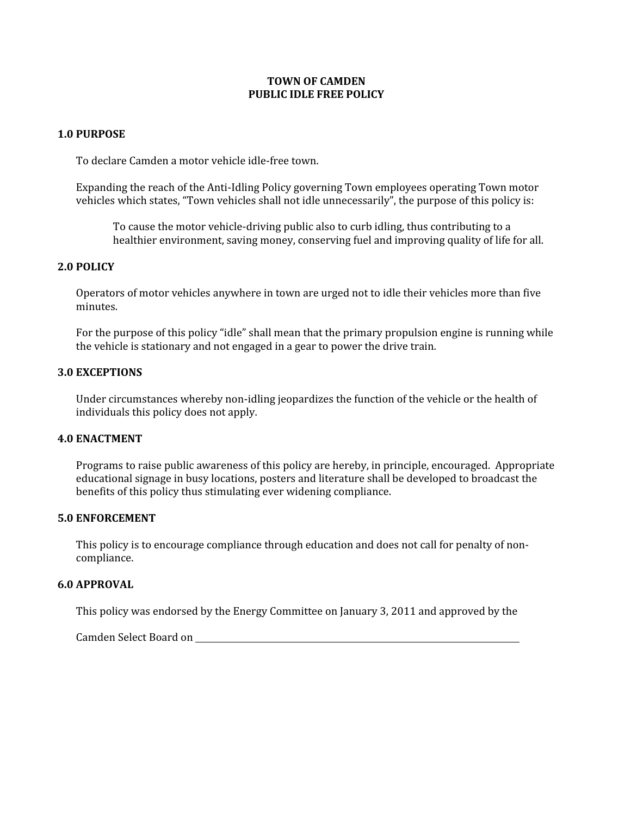### **TOWN OF CAMDEN PUBLIC IDLE FREE POLICY**

#### **1.0 PURPOSE**

To declare Camden a motor vehicle idle-free town.

Expanding the reach of the Anti-Idling Policy governing Town employees operating Town motor vehicles which states, "Town vehicles shall not idle unnecessarily", the purpose of this policy is:

To cause the motor vehicle-driving public also to curb idling, thus contributing to a healthier environment, saving money, conserving fuel and improving quality of life for all.

#### **2.0 POLICY**

Operators of motor vehicles anywhere in town are urged not to idle their vehicles more than five minutes.

For the purpose of this policy "idle" shall mean that the primary propulsion engine is running while the vehicle is stationary and not engaged in a gear to power the drive train.

#### **3.0 EXCEPTIONS**

Under circumstances whereby non-idling jeopardizes the function of the vehicle or the health of individuals this policy does not apply.

#### **4.0 ENACTMENT**

Programs to raise public awareness of this policy are hereby, in principle, encouraged. Appropriate educational signage in busy locations, posters and literature shall be developed to broadcast the benefits of this policy thus stimulating ever widening compliance.

#### **5.0 ENFORCEMENT**

This policy is to encourage compliance through education and does not call for penalty of noncompliance.

### **6.0 APPROVAL**

This policy was endorsed by the Energy Committee on January 3, 2011 and approved by the

Camden Select Board on